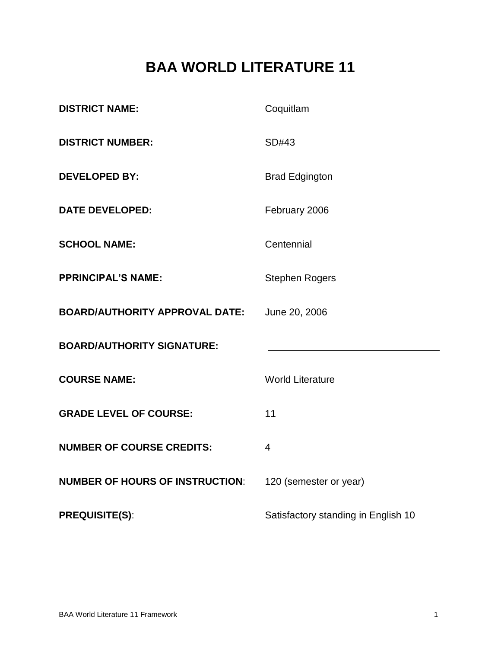# **BAA WORLD LITERATURE 11**

| <b>DISTRICT NAME:</b>                  | Coquitlam                           |
|----------------------------------------|-------------------------------------|
| <b>DISTRICT NUMBER:</b>                | SD#43                               |
| <b>DEVELOPED BY:</b>                   | <b>Brad Edgington</b>               |
| <b>DATE DEVELOPED:</b>                 | February 2006                       |
| <b>SCHOOL NAME:</b>                    | Centennial                          |
| <b>PPRINCIPAL'S NAME:</b>              | <b>Stephen Rogers</b>               |
| <b>BOARD/AUTHORITY APPROVAL DATE:</b>  | June 20, 2006                       |
| <b>BOARD/AUTHORITY SIGNATURE:</b>      |                                     |
| <b>COURSE NAME:</b>                    | <b>World Literature</b>             |
| <b>GRADE LEVEL OF COURSE:</b>          | 11                                  |
| <b>NUMBER OF COURSE CREDITS:</b>       | $\overline{4}$                      |
| <b>NUMBER OF HOURS OF INSTRUCTION:</b> | 120 (semester or year)              |
| <b>PREQUISITE(S):</b>                  | Satisfactory standing in English 10 |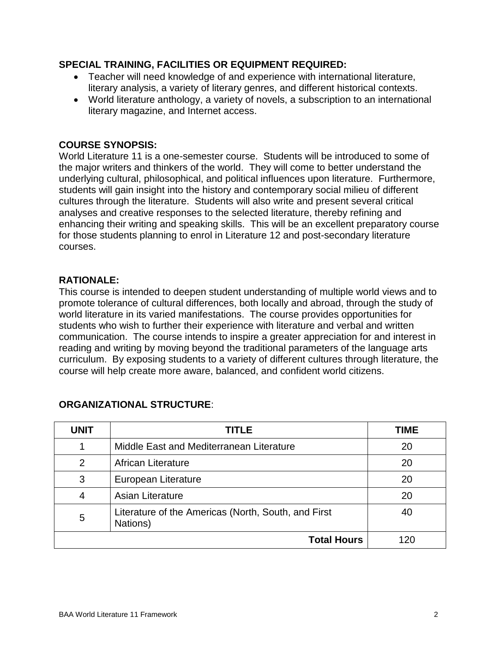## **SPECIAL TRAINING, FACILITIES OR EQUIPMENT REQUIRED:**

- Teacher will need knowledge of and experience with international literature, literary analysis, a variety of literary genres, and different historical contexts.
- World literature anthology, a variety of novels, a subscription to an international literary magazine, and Internet access.

## **COURSE SYNOPSIS:**

World Literature 11 is a one-semester course. Students will be introduced to some of the major writers and thinkers of the world. They will come to better understand the underlying cultural, philosophical, and political influences upon literature. Furthermore, students will gain insight into the history and contemporary social milieu of different cultures through the literature. Students will also write and present several critical analyses and creative responses to the selected literature, thereby refining and enhancing their writing and speaking skills. This will be an excellent preparatory course for those students planning to enrol in Literature 12 and post-secondary literature courses.

## **RATIONALE:**

This course is intended to deepen student understanding of multiple world views and to promote tolerance of cultural differences, both locally and abroad, through the study of world literature in its varied manifestations. The course provides opportunities for students who wish to further their experience with literature and verbal and written communication. The course intends to inspire a greater appreciation for and interest in reading and writing by moving beyond the traditional parameters of the language arts curriculum. By exposing students to a variety of different cultures through literature, the course will help create more aware, balanced, and confident world citizens.

| <b>UNIT</b> | <b>TITLE</b>                                                    | TIME |
|-------------|-----------------------------------------------------------------|------|
|             | Middle East and Mediterranean Literature                        | 20   |
| 2           | African Literature                                              | 20   |
| 3           | European Literature                                             | 20   |
| 4           | Asian Literature                                                | 20   |
| 5           | Literature of the Americas (North, South, and First<br>Nations) | 40   |
|             | <b>Total Hours</b>                                              |      |

## **ORGANIZATIONAL STRUCTURE**: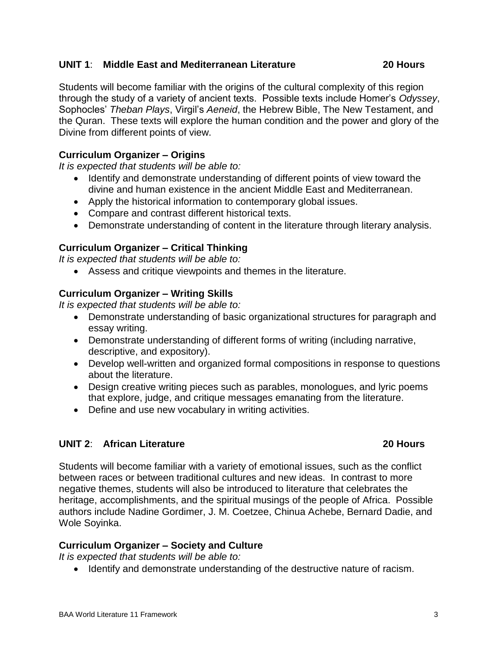#### **UNIT 1**: **Middle East and Mediterranean Literature 20 Hours**

Students will become familiar with the origins of the cultural complexity of this region through the study of a variety of ancient texts. Possible texts include Homer's *Odyssey*, Sophocles' *Theban Plays*, Virgil's *Aeneid*, the Hebrew Bible, The New Testament, and the Quran. These texts will explore the human condition and the power and glory of the Divine from different points of view.

### **Curriculum Organizer – Origins**

*It is expected that students will be able to:*

- Identify and demonstrate understanding of different points of view toward the divine and human existence in the ancient Middle East and Mediterranean.
- Apply the historical information to contemporary global issues.
- Compare and contrast different historical texts.
- Demonstrate understanding of content in the literature through literary analysis.

## **Curriculum Organizer – Critical Thinking**

*It is expected that students will be able to:*

Assess and critique viewpoints and themes in the literature.

## **Curriculum Organizer – Writing Skills**

*It is expected that students will be able to:*

- Demonstrate understanding of basic organizational structures for paragraph and essay writing.
- Demonstrate understanding of different forms of writing (including narrative, descriptive, and expository).
- Develop well-written and organized formal compositions in response to questions about the literature.
- Design creative writing pieces such as parables, monologues, and lyric poems that explore, judge, and critique messages emanating from the literature.
- Define and use new vocabulary in writing activities.

### **UNIT 2**: **African Literature 20 Hours**

Students will become familiar with a variety of emotional issues, such as the conflict between races or between traditional cultures and new ideas. In contrast to more negative themes, students will also be introduced to literature that celebrates the heritage, accomplishments, and the spiritual musings of the people of Africa. Possible authors include Nadine Gordimer, J. M. Coetzee, Chinua Achebe, Bernard Dadie, and Wole Soyinka.

## **Curriculum Organizer – Society and Culture**

*It is expected that students will be able to:*

• Identify and demonstrate understanding of the destructive nature of racism.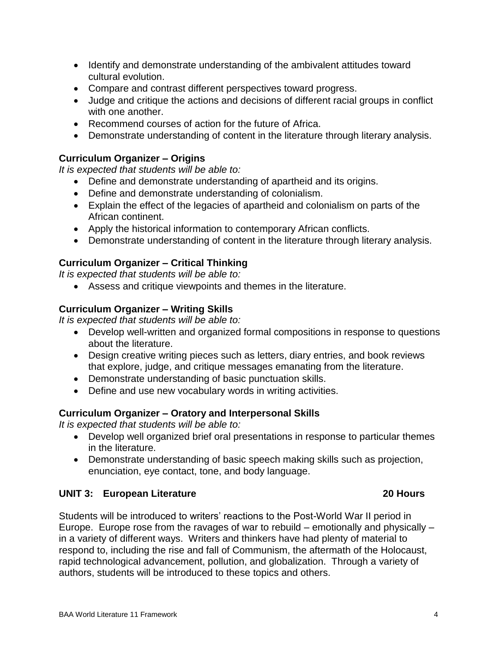- Identify and demonstrate understanding of the ambivalent attitudes toward cultural evolution.
- Compare and contrast different perspectives toward progress.
- Judge and critique the actions and decisions of different racial groups in conflict with one another.
- Recommend courses of action for the future of Africa.
- Demonstrate understanding of content in the literature through literary analysis.

## **Curriculum Organizer – Origins**

*It is expected that students will be able to:*

- Define and demonstrate understanding of apartheid and its origins.
- Define and demonstrate understanding of colonialism.
- Explain the effect of the legacies of apartheid and colonialism on parts of the African continent.
- Apply the historical information to contemporary African conflicts.
- Demonstrate understanding of content in the literature through literary analysis.

## **Curriculum Organizer – Critical Thinking**

*It is expected that students will be able to:*

Assess and critique viewpoints and themes in the literature.

## **Curriculum Organizer – Writing Skills**

*It is expected that students will be able to:*

- Develop well-written and organized formal compositions in response to questions about the literature.
- Design creative writing pieces such as letters, diary entries, and book reviews that explore, judge, and critique messages emanating from the literature.
- Demonstrate understanding of basic punctuation skills.
- Define and use new vocabulary words in writing activities.

## **Curriculum Organizer – Oratory and Interpersonal Skills**

*It is expected that students will be able to:*

- Develop well organized brief oral presentations in response to particular themes in the literature.
- Demonstrate understanding of basic speech making skills such as projection, enunciation, eye contact, tone, and body language.

## **UNIT 3: European Literature 20 Hours**

Students will be introduced to writers' reactions to the Post-World War II period in Europe. Europe rose from the ravages of war to rebuild – emotionally and physically – in a variety of different ways. Writers and thinkers have had plenty of material to respond to, including the rise and fall of Communism, the aftermath of the Holocaust, rapid technological advancement, pollution, and globalization. Through a variety of authors, students will be introduced to these topics and others.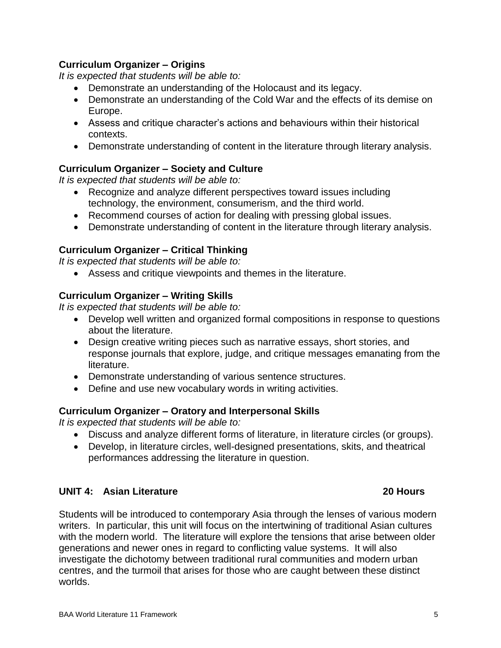#### Europe.

**Curriculum Organizer – Origins**

*It is expected that students will be able to:*

- Assess and critique character's actions and behaviours within their historical contexts.
- Demonstrate understanding of content in the literature through literary analysis.

Demonstrate an understanding of the Cold War and the effects of its demise on

#### **Curriculum Organizer – Society and Culture**

*It is expected that students will be able to:*

• Recognize and analyze different perspectives toward issues including technology, the environment, consumerism, and the third world.

Demonstrate an understanding of the Holocaust and its legacy.

- Recommend courses of action for dealing with pressing global issues.
- Demonstrate understanding of content in the literature through literary analysis.

### **Curriculum Organizer – Critical Thinking**

*It is expected that students will be able to:*

Assess and critique viewpoints and themes in the literature.

#### **Curriculum Organizer – Writing Skills**

*It is expected that students will be able to:*

- Develop well written and organized formal compositions in response to questions about the literature.
- Design creative writing pieces such as narrative essays, short stories, and response journals that explore, judge, and critique messages emanating from the literature.
- Demonstrate understanding of various sentence structures.
- Define and use new vocabulary words in writing activities.

#### **Curriculum Organizer – Oratory and Interpersonal Skills**

*It is expected that students will be able to:*

- Discuss and analyze different forms of literature, in literature circles (or groups).
- Develop, in literature circles, well-designed presentations, skits, and theatrical performances addressing the literature in question.

### **UNIT 4: Asian Literature 20 Hours**

Students will be introduced to contemporary Asia through the lenses of various modern writers. In particular, this unit will focus on the intertwining of traditional Asian cultures with the modern world. The literature will explore the tensions that arise between older generations and newer ones in regard to conflicting value systems. It will also investigate the dichotomy between traditional rural communities and modern urban centres, and the turmoil that arises for those who are caught between these distinct worlds.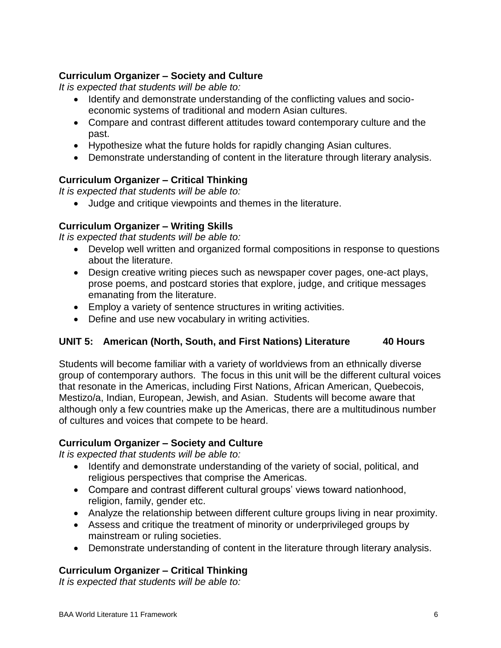## **Curriculum Organizer – Society and Culture**

*It is expected that students will be able to:*

- Identify and demonstrate understanding of the conflicting values and socioeconomic systems of traditional and modern Asian cultures.
- Compare and contrast different attitudes toward contemporary culture and the past.
- Hypothesize what the future holds for rapidly changing Asian cultures.
- Demonstrate understanding of content in the literature through literary analysis.

## **Curriculum Organizer – Critical Thinking**

*It is expected that students will be able to:*

Judge and critique viewpoints and themes in the literature.

## **Curriculum Organizer – Writing Skills**

*It is expected that students will be able to:*

- Develop well written and organized formal compositions in response to questions about the literature.
- Design creative writing pieces such as newspaper cover pages, one-act plays, prose poems, and postcard stories that explore, judge, and critique messages emanating from the literature.
- Employ a variety of sentence structures in writing activities.
- Define and use new vocabulary in writing activities.

## **UNIT 5: American (North, South, and First Nations) Literature 40 Hours**

Students will become familiar with a variety of worldviews from an ethnically diverse group of contemporary authors. The focus in this unit will be the different cultural voices that resonate in the Americas, including First Nations, African American, Quebecois, Mestizo/a, Indian, European, Jewish, and Asian. Students will become aware that although only a few countries make up the Americas, there are a multitudinous number of cultures and voices that compete to be heard.

## **Curriculum Organizer – Society and Culture**

*It is expected that students will be able to:*

- Identify and demonstrate understanding of the variety of social, political, and religious perspectives that comprise the Americas.
- Compare and contrast different cultural groups' views toward nationhood, religion, family, gender etc.
- Analyze the relationship between different culture groups living in near proximity.
- Assess and critique the treatment of minority or underprivileged groups by mainstream or ruling societies.
- Demonstrate understanding of content in the literature through literary analysis.

## **Curriculum Organizer – Critical Thinking**

*It is expected that students will be able to:*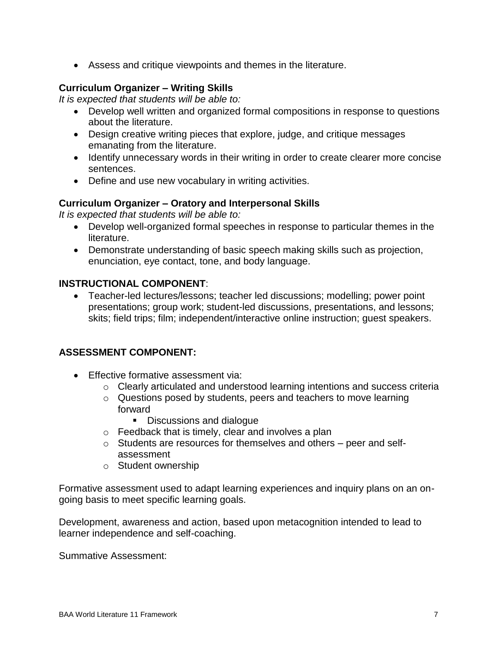Assess and critique viewpoints and themes in the literature.

## **Curriculum Organizer – Writing Skills**

*It is expected that students will be able to:*

- Develop well written and organized formal compositions in response to questions about the literature.
- Design creative writing pieces that explore, judge, and critique messages emanating from the literature.
- Identify unnecessary words in their writing in order to create clearer more concise sentences.
- Define and use new vocabulary in writing activities.

## **Curriculum Organizer – Oratory and Interpersonal Skills**

*It is expected that students will be able to:*

- Develop well-organized formal speeches in response to particular themes in the literature.
- Demonstrate understanding of basic speech making skills such as projection, enunciation, eye contact, tone, and body language.

## **INSTRUCTIONAL COMPONENT**:

 Teacher-led lectures/lessons; teacher led discussions; modelling; power point presentations; group work; student-led discussions, presentations, and lessons; skits; field trips; film; independent/interactive online instruction; guest speakers.

## **ASSESSMENT COMPONENT:**

- **Effective formative assessment via:** 
	- o Clearly articulated and understood learning intentions and success criteria
	- o Questions posed by students, peers and teachers to move learning forward
		- Discussions and dialogue
	- o Feedback that is timely, clear and involves a plan
	- o Students are resources for themselves and others peer and selfassessment
	- o Student ownership

Formative assessment used to adapt learning experiences and inquiry plans on an ongoing basis to meet specific learning goals.

Development, awareness and action, based upon metacognition intended to lead to learner independence and self-coaching.

Summative Assessment: